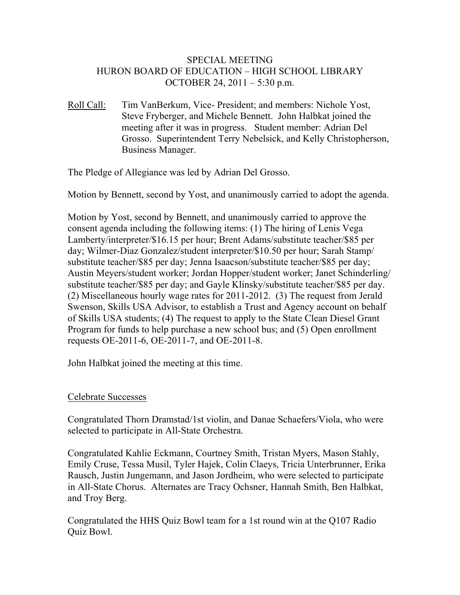### SPECIAL MEETING HURON BOARD OF EDUCATION – HIGH SCHOOL LIBRARY OCTOBER 24, 2011 – 5:30 p.m.

Roll Call: Tim VanBerkum, Vice- President; and members: Nichole Yost, Steve Fryberger, and Michele Bennett. John Halbkat joined the meeting after it was in progress. Student member: Adrian Del Grosso. Superintendent Terry Nebelsick, and Kelly Christopherson, Business Manager.

The Pledge of Allegiance was led by Adrian Del Grosso.

Motion by Bennett, second by Yost, and unanimously carried to adopt the agenda.

Motion by Yost, second by Bennett, and unanimously carried to approve the consent agenda including the following items: (1) The hiring of Lenis Vega Lamberty/interpreter/\$16.15 per hour; Brent Adams/substitute teacher/\$85 per day; Wilmer-Diaz Gonzalez/student interpreter/\$10.50 per hour; Sarah Stamp/ substitute teacher/\$85 per day; Jenna Isaacson/substitute teacher/\$85 per day; Austin Meyers/student worker; Jordan Hopper/student worker; Janet Schinderling/ substitute teacher/\$85 per day; and Gayle Klinsky/substitute teacher/\$85 per day. (2) Miscellaneous hourly wage rates for 2011-2012. (3) The request from Jerald Swenson, Skills USA Advisor, to establish a Trust and Agency account on behalf of Skills USA students; (4) The request to apply to the State Clean Diesel Grant Program for funds to help purchase a new school bus; and (5) Open enrollment requests OE-2011-6, OE-2011-7, and OE-2011-8.

John Halbkat joined the meeting at this time.

#### Celebrate Successes

Congratulated Thorn Dramstad/1st violin, and Danae Schaefers/Viola, who were selected to participate in All-State Orchestra.

Congratulated Kahlie Eckmann, Courtney Smith, Tristan Myers, Mason Stahly, Emily Cruse, Tessa Musil, Tyler Hajek, Colin Claeys, Tricia Unterbrunner, Erika Rausch, Justin Jungemann, and Jason Jordheim, who were selected to participate in All-State Chorus. Alternates are Tracy Ochsner, Hannah Smith, Ben Halbkat, and Troy Berg.

Congratulated the HHS Quiz Bowl team for a 1st round win at the Q107 Radio Quiz Bowl.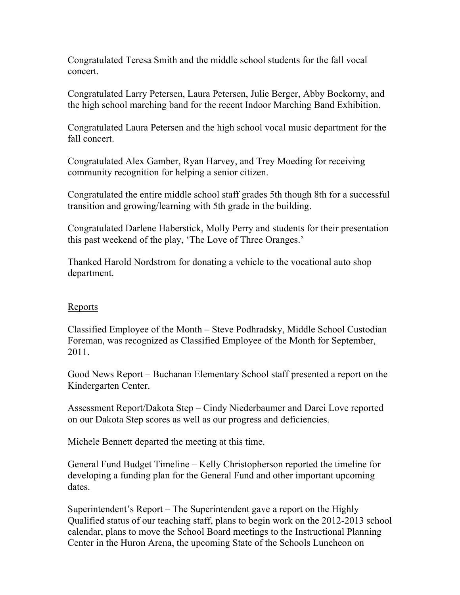Congratulated Teresa Smith and the middle school students for the fall vocal concert.

Congratulated Larry Petersen, Laura Petersen, Julie Berger, Abby Bockorny, and the high school marching band for the recent Indoor Marching Band Exhibition.

Congratulated Laura Petersen and the high school vocal music department for the fall concert.

Congratulated Alex Gamber, Ryan Harvey, and Trey Moeding for receiving community recognition for helping a senior citizen.

Congratulated the entire middle school staff grades 5th though 8th for a successful transition and growing/learning with 5th grade in the building.

Congratulated Darlene Haberstick, Molly Perry and students for their presentation this past weekend of the play, 'The Love of Three Oranges.'

Thanked Harold Nordstrom for donating a vehicle to the vocational auto shop department.

#### Reports

Classified Employee of the Month – Steve Podhradsky, Middle School Custodian Foreman, was recognized as Classified Employee of the Month for September, 2011.

Good News Report – Buchanan Elementary School staff presented a report on the Kindergarten Center.

Assessment Report/Dakota Step – Cindy Niederbaumer and Darci Love reported on our Dakota Step scores as well as our progress and deficiencies.

Michele Bennett departed the meeting at this time.

General Fund Budget Timeline – Kelly Christopherson reported the timeline for developing a funding plan for the General Fund and other important upcoming dates.

Superintendent's Report – The Superintendent gave a report on the Highly Qualified status of our teaching staff, plans to begin work on the 2012-2013 school calendar, plans to move the School Board meetings to the Instructional Planning Center in the Huron Arena, the upcoming State of the Schools Luncheon on